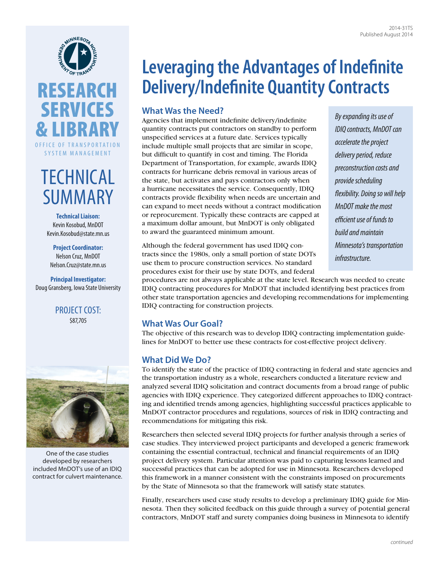



# **TECHNICAL** SUMMARY

**Technical Liaison:** Kevin Kosobud, MnDOT [Kevin.Kosobud@state.mn.us](mailto:Kevin.Kosobud@state.mn.us)

**Project Coordinator:** Nelson Cruz, MnDOT [Nelson.Cruz@state.mn.us](mailto:Nelson.Cruz@state.mn.us)

**Principal Investigator:** Doug Gransberg, Iowa State University

### PROJECT COST: \$87,705



One of the case studies developed by researchers included MnDOT's use of an IDIQ contract for culvert maintenance.

## **Leveraging the Advantages of Indefinite Delivery/Indefinite Quantity Contracts**

## **What Was the Need?**

Agencies that implement indefinite delivery/indefinite quantity contracts put contractors on standby to perform unspecified services at a future date. Services typically include multiple small projects that are similar in scope, but difficult to quantify in cost and timing. The Florida Department of Transportation, for example, awards IDIQ contracts for hurricane debris removal in various areas of the state, but activates and pays contractors only when a hurricane necessitates the service. Consequently, IDIQ contracts provide flexibility when needs are uncertain and can expand to meet needs without a contract modification or reprocurement. Typically these contracts are capped at a maximum dollar amount, but MnDOT is only obligated to award the guaranteed minimum amount.

*By expanding its use of IDIQ contracts, MnDOT can accelerate the project delivery period, reduce preconstruction costs and provide scheduling flexibility. Doing so will help MnDOT make the most efficient use of funds to build and maintain Minnesota's transportation infrastructure.* 

Although the federal government has used IDIQ contracts since the 1980s, only a small portion of state DOTs use them to procure construction services. No standard procedures exist for their use by state DOTs, and federal

procedures are not always applicable at the state level. Research was needed to create IDIQ contracting procedures for MnDOT that included identifying best practices from other state transportation agencies and developing recommendations for implementing IDIQ contracting for construction projects.

## **What Was Our Goal?**

The objective of this research was to develop IDIQ contracting implementation guidelines for MnDOT to better use these contracts for cost-effective project delivery.

## **What Did We Do?**

To identify the state of the practice of IDIQ contracting in federal and state agencies and the transportation industry as a whole, researchers conducted a literature review and analyzed several IDIQ solicitation and contract documents from a broad range of public agencies with IDIQ experience. They categorized different approaches to IDIQ contracting and identified trends among agencies, highlighting successful practices applicable to MnDOT contractor procedures and regulations, sources of risk in IDIQ contracting and recommendations for mitigating this risk.

Researchers then selected several IDIQ projects for further analysis through a series of case studies. They interviewed project participants and developed a generic framework containing the essential contractual, technical and financial requirements of an IDIQ project delivery system. Particular attention was paid to capturing lessons learned and successful practices that can be adopted for use in Minnesota. Researchers developed this framework in a manner consistent with the constraints imposed on procurements by the State of Minnesota so that the framework will satisfy state statutes.

Finally, researchers used case study results to develop a preliminary IDIQ guide for Minnesota. Then they solicited feedback on this guide through a survey of potential general contractors, MnDOT staff and surety companies doing business in Minnesota to identify